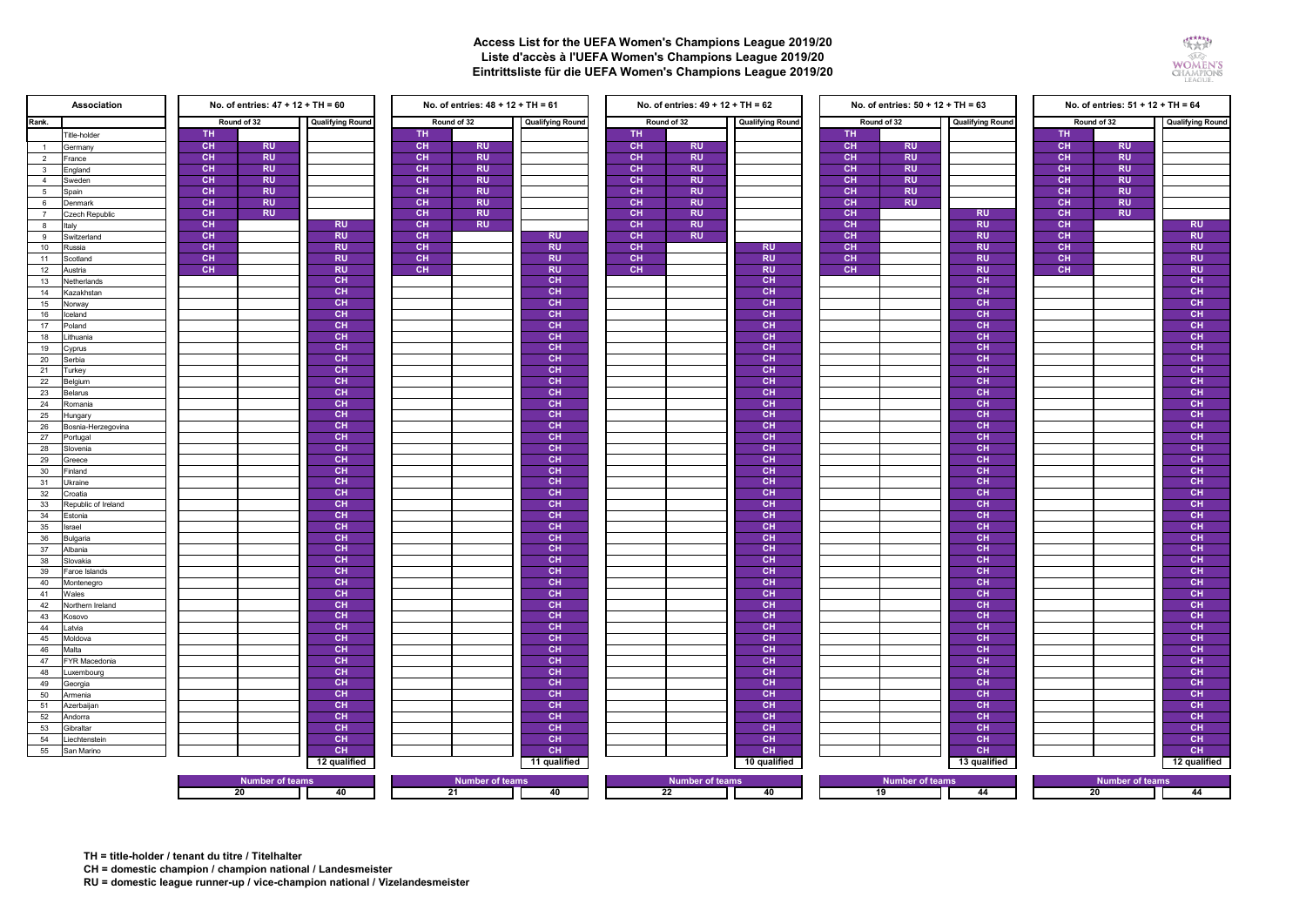## **Access List for the UEFA Women's Champions League 2019/20 Liste d'accès à l'UEFA Women's Champions League 2019/20 Eintrittsliste für die UEFA Women's Champions League 2019/20**



| Association                         | No. of entries: $47 + 12 + TH = 60$ |                         | No. of entries: $48 + 12 + TH = 61$ |           |                         |                 |           | No. of entries: $49 + 12 + TH = 62$ |                 | No. of entries: $50 + 12 + TH = 63$ |                         |                 | No. of entries: 51 + 12 + TH = 64 |                         |                 |
|-------------------------------------|-------------------------------------|-------------------------|-------------------------------------|-----------|-------------------------|-----------------|-----------|-------------------------------------|-----------------|-------------------------------------|-------------------------|-----------------|-----------------------------------|-------------------------|-----------------|
| Rank.<br>Round of 32                |                                     | <b>Qualifying Round</b> | Round of 32                         |           | <b>Qualifying Round</b> | Round of 32     |           | <b>Qualifying Round</b>             | Round of 32     |                                     | <b>Qualifying Round</b> | Round of 32     |                                   | <b>Qualifying Round</b> |                 |
| Title-holder                        | <b>TH</b>                           |                         |                                     | <b>TH</b> |                         |                 | TH.       |                                     |                 | TH                                  |                         |                 | TH.                               |                         |                 |
| Germany<br>$\overline{1}$           | <b>CH</b>                           | <b>RU</b>               |                                     | CH        | <b>RU</b>               |                 | <b>CH</b> | <b>RU</b>                           |                 | CH                                  | <b>RU</b>               |                 | CH                                | <b>RU</b>               |                 |
| $\overline{2}$<br>France            | CH                                  | <b>RU</b>               |                                     | <b>CH</b> | <b>RU</b>               |                 | CH        | <b>RU</b>                           |                 | CH                                  | <b>RU</b>               |                 | CH                                | <b>RU</b>               |                 |
| England<br>$\mathbf{3}$             | CH                                  | <b>RU</b>               |                                     | <b>CH</b> | <b>RU</b>               |                 | <b>CH</b> | <b>RU</b>                           |                 | <b>CH</b>                           | <b>RU</b>               |                 | CH                                | <b>RU</b>               |                 |
| $\overline{4}$<br>Sweden            | CH                                  | <b>RU</b>               |                                     | <b>CH</b> | <b>RU</b>               |                 | CH        | <b>RU</b>                           |                 | CH                                  | <b>RU</b>               |                 | CH                                | <b>RU</b>               |                 |
| $5^{\circ}$<br>Spain                | CH                                  | <b>RU</b>               |                                     | CH        | <b>RU</b>               |                 | <b>CH</b> | <b>RU</b>                           |                 | CH                                  | <b>RU</b>               |                 | CH                                | <b>RU</b>               |                 |
| 6<br>Denmark                        | CH                                  | <b>RU</b>               |                                     | <b>CH</b> | <b>RU</b>               |                 | <b>CH</b> | <b>RU</b>                           |                 | <b>CH</b>                           | <b>RU</b>               |                 | CH                                | <b>RU</b>               |                 |
| $\overline{7}$<br>Czech Republic    | CH                                  | <b>RU</b>               |                                     | CH        | <b>RU</b>               |                 | CH        | <b>RU</b>                           |                 | CH                                  |                         | <b>RU</b>       | CH                                | <b>RU</b>               |                 |
| Italy<br>8                          | CH                                  |                         | <b>RU</b>                           | CH        | <b>RU</b>               |                 | <b>CH</b> | <b>RU</b>                           |                 | <b>CH</b>                           |                         | <b>RU</b>       | CH                                |                         | <b>RU</b>       |
| Switzerland<br>9                    | <b>CH</b>                           |                         | <b>RU</b>                           | CH        |                         | <b>RU</b>       | <b>CH</b> | <b>RU</b>                           |                 | <b>CH</b>                           |                         | <b>RU</b>       | CH                                |                         | <b>RU</b>       |
| 10<br>Russia                        | <b>CH</b>                           |                         | <b>RU</b>                           | CH        |                         | <b>RU</b>       | CH        |                                     | <b>RU</b>       | <b>CH</b>                           |                         | <b>RU</b>       | CH                                |                         | <b>RU</b>       |
| 11<br>Scotland                      | <b>CH</b>                           |                         | <b>RU</b>                           | <b>CH</b> |                         | <b>RU</b>       | <b>CH</b> |                                     | <b>RU</b>       | <b>CH</b>                           |                         | <b>RU</b>       | CH                                |                         | <b>RU</b>       |
| 12<br>Austria                       | <b>CH</b>                           |                         | <b>RU</b>                           | <b>CH</b> |                         | <b>RU</b>       | <b>CH</b> |                                     | <b>RU</b>       | <b>CH</b>                           |                         | <b>RU</b>       | <b>CH</b>                         |                         | <b>RU</b>       |
| 13<br>Vetherlands                   |                                     |                         | CH                                  |           |                         | CH              |           |                                     | <b>CH</b>       |                                     |                         | CH              |                                   |                         | CH              |
| 14<br><b>Kazakhstan</b>             |                                     |                         | CH                                  |           |                         | CH              |           |                                     | <b>CH</b>       |                                     |                         | CH              |                                   |                         | CH              |
| 15<br>Vorway                        |                                     |                         | CH                                  |           |                         | CH              |           |                                     | CH              |                                     |                         | CH              |                                   |                         | CH              |
| 16<br>celand                        |                                     |                         | <b>CH</b>                           |           |                         | <b>CH</b>       |           |                                     | <b>CH</b>       |                                     |                         | <b>CH</b>       |                                   |                         | <b>CH</b>       |
| 17<br>Poland                        |                                     |                         | CH                                  |           |                         | CH              |           |                                     | CH              |                                     |                         | CH              |                                   |                         | CH              |
| 18<br>ithuania                      |                                     |                         | CH                                  |           |                         | CH              |           |                                     | <b>CH</b>       |                                     |                         | CH              |                                   |                         | CH              |
| 19<br>Cyprus                        |                                     |                         | <b>CH</b>                           |           |                         | <b>CH</b>       |           |                                     | <b>CH</b>       |                                     |                         | CH              |                                   |                         | <b>CH</b>       |
| 20<br>Serbia                        |                                     |                         | CH                                  |           |                         | <b>CH</b>       |           |                                     | <b>CH</b>       |                                     |                         | <b>CH</b>       |                                   |                         | CH              |
| 21<br><b>Turkey</b>                 |                                     |                         | <b>CH</b>                           |           |                         | <b>CH</b>       |           |                                     | <b>CH</b>       |                                     |                         | <b>CH</b>       |                                   |                         | CH              |
| 22<br>Belgium                       |                                     |                         | CH                                  |           |                         | CH              |           |                                     | CH              |                                     |                         | CH              |                                   |                         | CH              |
| 23<br>Belarus                       |                                     |                         | CH                                  |           |                         | CH              |           |                                     | <b>CH</b>       |                                     |                         | CH              |                                   |                         | CH              |
| 24<br>≷omania                       |                                     |                         | <b>CH</b>                           |           |                         | CH              |           |                                     | <b>CH</b>       |                                     |                         | CH              |                                   |                         | CH              |
| 25<br>Hungary                       |                                     |                         | CH                                  |           |                         | <b>CH</b>       |           |                                     | CH              |                                     |                         | <b>CH</b>       |                                   |                         | CH              |
| 26<br>Bosnia-Herzegovina            |                                     |                         | <b>CH</b>                           |           |                         | CH              |           |                                     | <b>CH</b>       |                                     |                         | CH              |                                   |                         | <b>CH</b>       |
| 27<br>Portugal                      |                                     |                         | CH                                  |           |                         | CH              |           |                                     | <b>CH</b>       |                                     |                         | CH              |                                   |                         | CH              |
| 28<br>Slovenia                      |                                     |                         | <b>CH</b>                           |           |                         | CH              |           |                                     | <b>CH</b>       |                                     |                         | CH              |                                   |                         | CH              |
| 29<br>Greece                        |                                     |                         | <b>CH</b>                           |           |                         | <b>CH</b>       |           |                                     | <b>CH</b>       |                                     |                         | <b>CH</b>       |                                   |                         | CH.             |
| 30<br>Finland                       |                                     |                         | CH                                  |           |                         | <b>CH</b>       |           |                                     | CH              |                                     |                         | <b>CH</b>       |                                   |                         | CH              |
| 31<br>Ukraine                       |                                     |                         | <b>CH</b>                           |           |                         | <b>CH</b>       |           |                                     | <b>CH</b>       |                                     |                         | <b>CH</b>       |                                   |                         | CH              |
| 32<br>Croatia                       |                                     |                         | CH                                  |           |                         | CH              |           |                                     | <b>CH</b>       |                                     |                         | CH              |                                   |                         | CH              |
| 33<br>Republic of Ireland           |                                     |                         | CH                                  |           |                         | CH              |           |                                     | <b>CH</b>       |                                     |                         | CH              |                                   |                         | CH              |
| 34<br>Estonia                       |                                     |                         | <b>CH</b>                           |           |                         | <b>CH</b>       |           |                                     | <b>CH</b>       |                                     |                         | <b>CH</b>       |                                   |                         | <b>CH</b>       |
| 35<br><b>Israel</b>                 |                                     |                         | <b>CH</b>                           |           |                         | <b>CH</b>       |           |                                     | <b>CH</b>       |                                     |                         | <b>CH</b>       |                                   |                         | CH              |
| 36<br>Bulgaria                      |                                     |                         | CH                                  |           |                         | CH              |           |                                     | <b>CH</b>       |                                     |                         | CH              |                                   |                         | CH              |
| 37<br>Albania                       |                                     |                         | CH                                  |           |                         | CH              |           |                                     | <b>CH</b>       |                                     |                         | CH              |                                   |                         | CH              |
| 38<br><b>Slovakia</b>               |                                     |                         | CH                                  |           |                         | CH              |           |                                     | <b>CH</b>       |                                     |                         | CH              |                                   |                         | CH              |
| 39<br>Faroe Islands                 |                                     |                         | <b>CH</b>                           |           |                         | <b>CH</b>       |           |                                     | <b>CH</b>       |                                     |                         | <b>CH</b>       |                                   |                         | <b>CH</b>       |
| 40<br>Montenegro                    |                                     |                         | CH                                  |           |                         | <b>CH</b>       |           |                                     | <b>CH</b>       |                                     |                         | <b>CH</b><br>CH |                                   |                         | CH              |
| 41<br>Nales                         |                                     |                         | CH<br><b>CH</b>                     |           |                         | CH<br><b>CH</b> |           |                                     | CH<br><b>CH</b> |                                     |                         | CH              |                                   |                         | CH<br><b>CH</b> |
| 42<br>Northern Ireland              |                                     |                         | CH                                  |           |                         | <b>CH</b>       |           |                                     | <b>CH</b>       |                                     |                         | <b>CH</b>       |                                   |                         | CH              |
| 43<br><b>Cosovo</b><br>44<br>Latvia |                                     |                         | <b>CH</b>                           |           |                         | CH              |           |                                     | <b>CH</b>       |                                     |                         | CH              |                                   |                         | CH              |
| 45<br>Moldova                       |                                     |                         | CH                                  |           |                         | CH              |           |                                     | CH              |                                     |                         | CH              |                                   |                         | CH              |
| 46<br><b>Malta</b>                  |                                     |                         | CH                                  |           |                         | CH              |           |                                     | <b>CH</b>       |                                     |                         | CH              |                                   |                         | CH              |
| 47<br>FYR Macedonia                 |                                     |                         | <b>CH</b>                           |           |                         | CH              |           |                                     | <b>CH</b>       |                                     |                         | CH              |                                   |                         | CH              |
| 48<br>uxembourg                     |                                     |                         | CH                                  |           |                         | CH              |           |                                     | <b>CH</b>       |                                     |                         | CH              |                                   |                         | CH              |
| 49<br>Georgia                       |                                     |                         | CH                                  |           |                         | <b>CH</b>       |           |                                     | <b>CH</b>       |                                     |                         | CH              |                                   |                         | CH              |
| 50<br>Armenia                       |                                     |                         | CH                                  |           |                         | <b>CH</b>       |           |                                     | CH              |                                     |                         | CH              |                                   |                         | CH              |
| 51<br>Azerbaijan                    |                                     |                         | CH                                  |           |                         | CH              |           |                                     | CH              |                                     |                         | CH              |                                   |                         | CH              |
| 52<br>Andorra                       |                                     |                         | <b>CH</b>                           |           |                         | <b>CH</b>       |           |                                     | <b>CH</b>       |                                     |                         | <b>CH</b>       |                                   |                         | <b>CH</b>       |
| 53<br>Gibraltar                     |                                     |                         | CH                                  |           |                         | <b>CH</b>       |           |                                     | <b>CH</b>       |                                     |                         | CH              |                                   |                         | CH              |
| 54<br><i>iechtenstein</i>           |                                     |                         | <b>CH</b>                           |           |                         | <b>CH</b>       |           |                                     | <b>CH</b>       |                                     |                         | CH              |                                   |                         | CH              |
| 55<br>San Marino                    |                                     |                         | CH                                  |           |                         | CH              |           |                                     | CH              |                                     |                         | CH              |                                   |                         | CH              |
|                                     |                                     |                         | 12 qualified                        |           |                         | 11 qualified    |           |                                     | 10 qualified    |                                     |                         | 13 qualified    |                                   |                         | 12 qualified    |
|                                     |                                     |                         |                                     |           |                         |                 |           |                                     |                 |                                     |                         |                 |                                   |                         |                 |
|                                     |                                     | <b>Number of teams</b>  |                                     |           | <b>Number of teams</b>  |                 |           | <b>Number of teams</b>              |                 |                                     | <b>Number of teams</b>  |                 |                                   | <b>Number of teams</b>  |                 |
| 20                                  |                                     |                         | 40                                  | 21        |                         | 40              | 22        |                                     | 40              | 19                                  |                         | 44              | 44<br>20                          |                         |                 |

**TH = title-holder / tenant du titre / Titelhalter**

**CH = domestic champion / champion national / Landesmeister**

**RU = domestic league runner-up / vice-champion national / Vizelandesmeister**